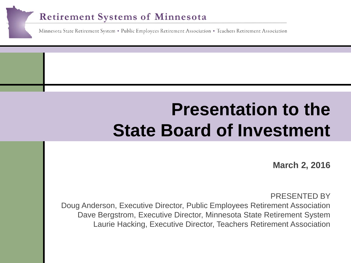### **Retirement Systems of Minnesota**

Minnesota State Retirement System . Public Employees Retirement Association . Teachers Retirement Association

# **Click here to a Presentation to the State Board of Investment**

**March 2, 2016** 

PRESENTED BY Doug Anderson, Executive Director, Public Employees Retirement Association Dave Bergstrom, Executive Director, Minnesota State Retirement System Laurie Hacking, Executive Director, Teachers Retirement Association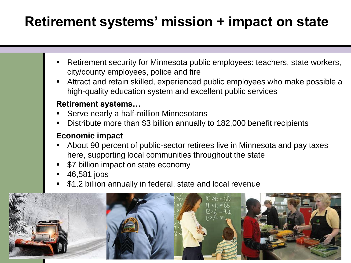# **Retirement systems' mission + impact on state**

- Retirement security for Minnesota public employees: teachers, state workers, city/county employees, police and fire
- Attract and retain skilled, experienced public employees who make possible a high-quality education system and excellent public services

### **Retirement systems…**

- Serve nearly a half-million Minnesotans
- Distribute more than \$3 billion annually to 182,000 benefit recipients

### **Economic impact**

- About 90 percent of public-sector retirees live in Minnesota and pay taxes here, supporting local communities throughout the state
- \$7 billion impact on state economy
- 46,581 jobs
- \$1.2 billion annually in federal, state and local revenue

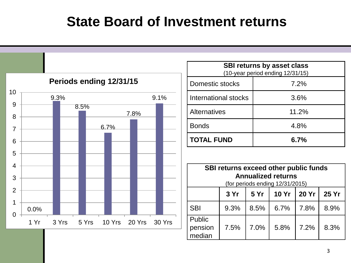### **State Board of Investment returns**

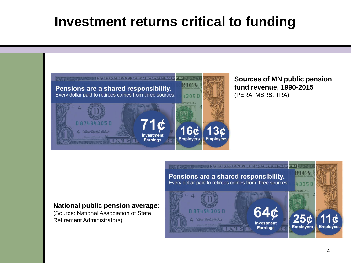## **Investment returns critical to funding**



**Sources of MN public pension fund revenue, 1990-2015**  (PERA, MSRS, TRA)

### **National public pension average:**

(Source: National Association of State Retirement Administrators)

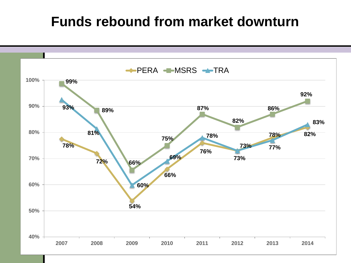### **Funds rebound from market downturn**

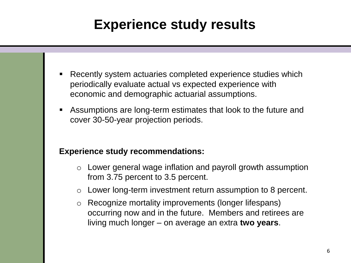# **Experience study results**

- Recently system actuaries completed experience studies which periodically evaluate actual vs expected experience with economic and demographic actuarial assumptions.
- Assumptions are long-term estimates that look to the future and cover 30-50-year projection periods.

#### **Experience study recommendations:**

- o Lower general wage inflation and payroll growth assumption from 3.75 percent to 3.5 percent.
- o Lower long-term investment return assumption to 8 percent.
- o Recognize mortality improvements (longer lifespans) occurring now and in the future. Members and retirees are living much longer – on average an extra **two years**.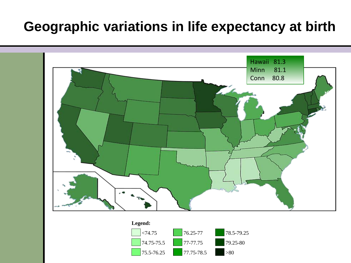### **Geographic variations in life expectancy at birth**



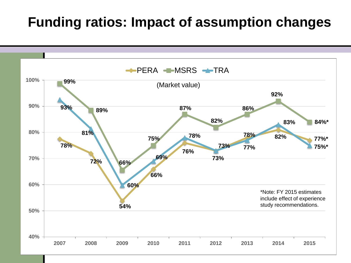### **Funding ratios: Impact of assumption changes**

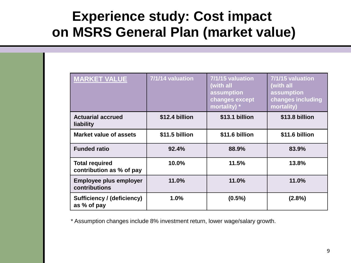### **Experience study: Cost impact on MSRS General Plan (market value)**

| <b>MARKET VALUE</b>                               | 7/1/14 valuation | 7/1/15 valuation<br>(with all<br>assumption<br>changes except<br>mortality) * | 7/1/15 valuation<br>(with all<br>assumption<br>changes including<br>mortality) |
|---------------------------------------------------|------------------|-------------------------------------------------------------------------------|--------------------------------------------------------------------------------|
| <b>Actuarial accrued</b><br>liability             | \$12.4 billion   | \$13.1 billion                                                                | \$13.8 billion                                                                 |
| Market value of assets                            | \$11.5 billion   | \$11.6 billion                                                                | \$11.6 billion                                                                 |
| <b>Funded ratio</b>                               | 92.4%            | 88.9%                                                                         | 83.9%                                                                          |
| <b>Total required</b><br>contribution as % of pay | 10.0%            | 11.5%                                                                         | 13.8%                                                                          |
| <b>Employee plus employer</b><br>contributions    | 11.0%            | 11.0%                                                                         | 11.0%                                                                          |
| <b>Sufficiency / (deficiency)</b><br>as % of pay  | 1.0%             | $(0.5\%)$                                                                     | (2.8%)                                                                         |

\* Assumption changes include 8% investment return, lower wage/salary growth.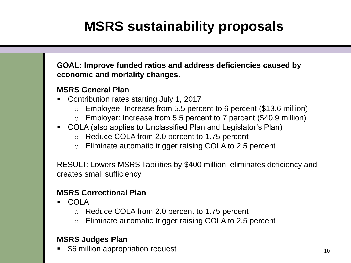# **MSRS sustainability proposals**

**GOAL: Improve funded ratios and address deficiencies caused by economic and mortality changes.**

#### **MSRS General Plan**

- Contribution rates starting July 1, 2017
	- o Employee: Increase from 5.5 percent to 6 percent (\$13.6 million)
	- o Employer: Increase from 5.5 percent to 7 percent (\$40.9 million)
- COLA (also applies to Unclassified Plan and Legislator's Plan)
	- o Reduce COLA from 2.0 percent to 1.75 percent
	- o Eliminate automatic trigger raising COLA to 2.5 percent

RESULT: Lowers MSRS liabilities by \$400 million, eliminates deficiency and creates small sufficiency

#### **MSRS Correctional Plan**

- COLA
	- o Reduce COLA from 2.0 percent to 1.75 percent
	- o Eliminate automatic trigger raising COLA to 2.5 percent

#### **MSRS Judges Plan**

 $\bullet$  \$6 million appropriation request  $10^{10}$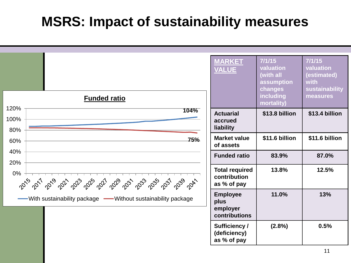### **MSRS: Impact of sustainability measures**

| <b>Funded ratio</b><br>120%                                   | <b>MARKET</b><br><b>VALUE</b>                        | 7/1/15<br>valuation<br>(with all<br>assumption<br>changes<br>including<br>mortality) | 7/1/15<br>valuation<br>(estimated)<br>with<br>sustainability<br>measures |
|---------------------------------------------------------------|------------------------------------------------------|--------------------------------------------------------------------------------------|--------------------------------------------------------------------------|
| 104%<br>100%<br>80%                                           | <b>Actuarial</b><br>accrued<br>liability             | \$13.8 billion                                                                       | \$13.4 billion                                                           |
| 75%<br>60%                                                    | <b>Market value</b><br>of assets                     | \$11.6 billion                                                                       | \$11.6 billion                                                           |
| 40%<br>20%                                                    | <b>Funded ratio</b>                                  | 83.9%                                                                                | 87.0%                                                                    |
| $0\%$<br>2015<br>2039<br>2041                                 | <b>Total required</b><br>contribution<br>as % of pay | 13.8%                                                                                | 12.5%                                                                    |
| -With sustainability package - Without sustainability package | <b>Employee</b><br>plus<br>employer<br>contributions | 11.0%                                                                                | 13%                                                                      |
|                                                               | <b>Sufficiency /</b><br>(deficiency)<br>as % of pay  | (2.8%)                                                                               | 0.5%                                                                     |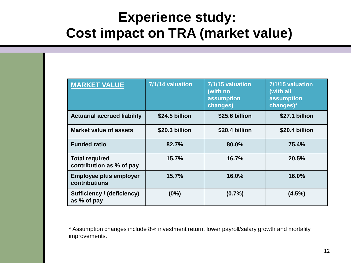### **Experience study: Cost impact on TRA (market value)**

| <b>MARKET VALUE</b>                               | 7/1/14 valuation | 7/1/15 valuation<br>(with no<br>assumption<br>changes) | 7/1/15 valuation<br>(with all<br>assumption<br>changes)* |
|---------------------------------------------------|------------------|--------------------------------------------------------|----------------------------------------------------------|
| <b>Actuarial accrued liability</b>                | \$24.5 billion   | \$25.6 billion                                         | \$27.1 billion                                           |
| <b>Market value of assets</b>                     | \$20.3 billion   | \$20.4 billion                                         | \$20.4 billion                                           |
| <b>Funded ratio</b>                               | 82.7%            | 80.0%                                                  | 75.4%                                                    |
| <b>Total required</b><br>contribution as % of pay | 15.7%            | 16.7%                                                  | 20.5%                                                    |
| <b>Employee plus employer</b><br>contributions    | 15.7%            | 16.0%                                                  | 16.0%                                                    |
| <b>Sufficiency / (deficiency)</b><br>as % of pay  | (0%)             | (0.7%                                                  | (4.5%)                                                   |

\* Assumption changes include 8% investment return, lower payroll/salary growth and mortality improvements.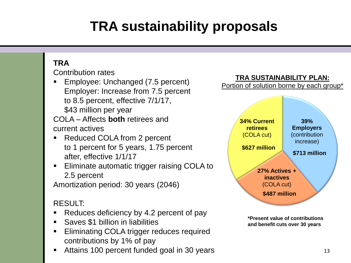# **TRA sustainability proposals**

### **TRA**

Contribution rates

 Employee: Unchanged (7.5 percent) Employer: Increase from 7.5 percent to 8.5 percent, effective 7/1/17, \$43 million per year

COLA – Affects **both** retirees and current actives

- Reduced COLA from 2 percent to 1 percent for 5 years, 1.75 percent after, effective 1/1/17
- **Eliminate automatic trigger raising COLA to** 2.5 percent

Amortization period: 30 years (2046)

### RESULT:

- Reduces deficiency by 4.2 percent of pay
- Saves \$1 billion in liabilities
- **Eliminating COLA trigger reduces required** contributions by 1% of pay
- Attains 100 percent funded goal in 30 years 13



**\*Present value of contributions and benefit cuts over 30 years**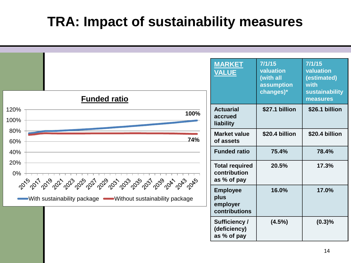### **TRA: Impact of sustainability measures**

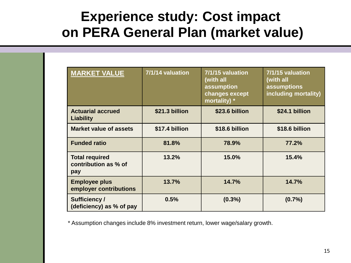### **Experience study: Cost impact on PERA General Plan (market value)**

| <b>MARKET VALUE</b>                                  | 7/1/14 valuation | 7/1/15 valuation<br>(with all<br>assumption<br>changes except<br>mortality) * | 7/1/15 valuation<br>(with all<br>assumptions<br>including mortality) |
|------------------------------------------------------|------------------|-------------------------------------------------------------------------------|----------------------------------------------------------------------|
| <b>Actuarial accrued</b><br>Liability                | \$21.3 billion   | \$23.6 billion                                                                | \$24.1 billion                                                       |
| <b>Market value of assets</b>                        | \$17.4 billion   | \$18.6 billion                                                                | \$18.6 billion                                                       |
| <b>Funded ratio</b>                                  | 81.8%            | 78.9%                                                                         | 77.2%                                                                |
| <b>Total required</b><br>contribution as % of<br>pay | 13.2%            | 15.0%                                                                         | 15.4%                                                                |
| <b>Employee plus</b><br>employer contributions       | 13.7%            | 14.7%                                                                         | 14.7%                                                                |
| <b>Sufficiency/</b><br>(deficiency) as % of pay      | 0.5%             | $(0.3\%)$                                                                     | (0.7%                                                                |

\* Assumption changes include 8% investment return, lower wage/salary growth.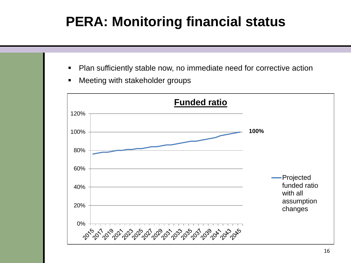# **PERA: Monitoring financial status**

- Plan sufficiently stable now, no immediate need for corrective action
- **EXEC** Meeting with stakeholder groups

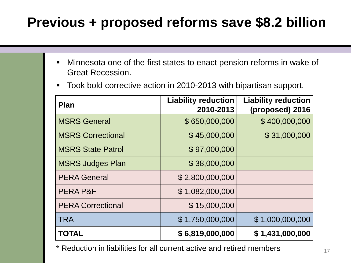# **Previous + proposed reforms save \$8.2 billion**

- Minnesota one of the first states to enact pension reforms in wake of Great Recession.
- Took bold corrective action in 2010-2013 with bipartisan support.

| <b>Plan</b>              | <b>Liability reduction</b><br>2010-2013 | <b>Liability reduction</b><br>(proposed) 2016 |
|--------------------------|-----------------------------------------|-----------------------------------------------|
| <b>MSRS General</b>      | \$650,000,000                           | \$400,000,000                                 |
| <b>MSRS Correctional</b> | \$45,000,000                            | \$31,000,000                                  |
| <b>MSRS State Patrol</b> | \$97,000,000                            |                                               |
| <b>MSRS Judges Plan</b>  | \$38,000,000                            |                                               |
| <b>PERA General</b>      | \$2,800,000,000                         |                                               |
| PERA P&F                 | \$1,082,000,000                         |                                               |
| <b>PERA Correctional</b> | \$15,000,000                            |                                               |
| <b>TRA</b>               | \$1,750,000,000                         | \$1,000,000,000                               |
| <b>TOTAL</b>             | \$6,819,000,000                         | \$1,431,000,000                               |

\* Reduction in liabilities for all current active and retired members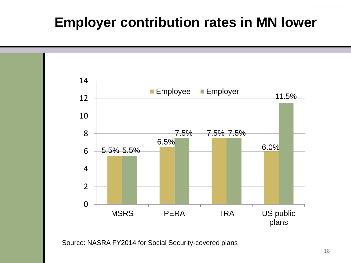### **Employer contribution rates in MN lower**



Source: NASRA FY2014 for Social Security-covered plans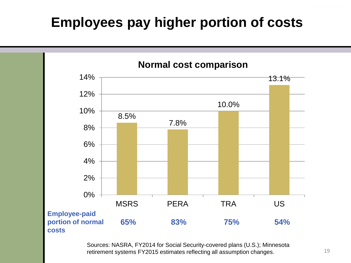### **Employees pay higher portion of costs**



Sources: NASRA, FY2014 for Social Security-covered plans (U.S.); Minnesota retirement systems FY2015 estimates reflecting all assumption changes.